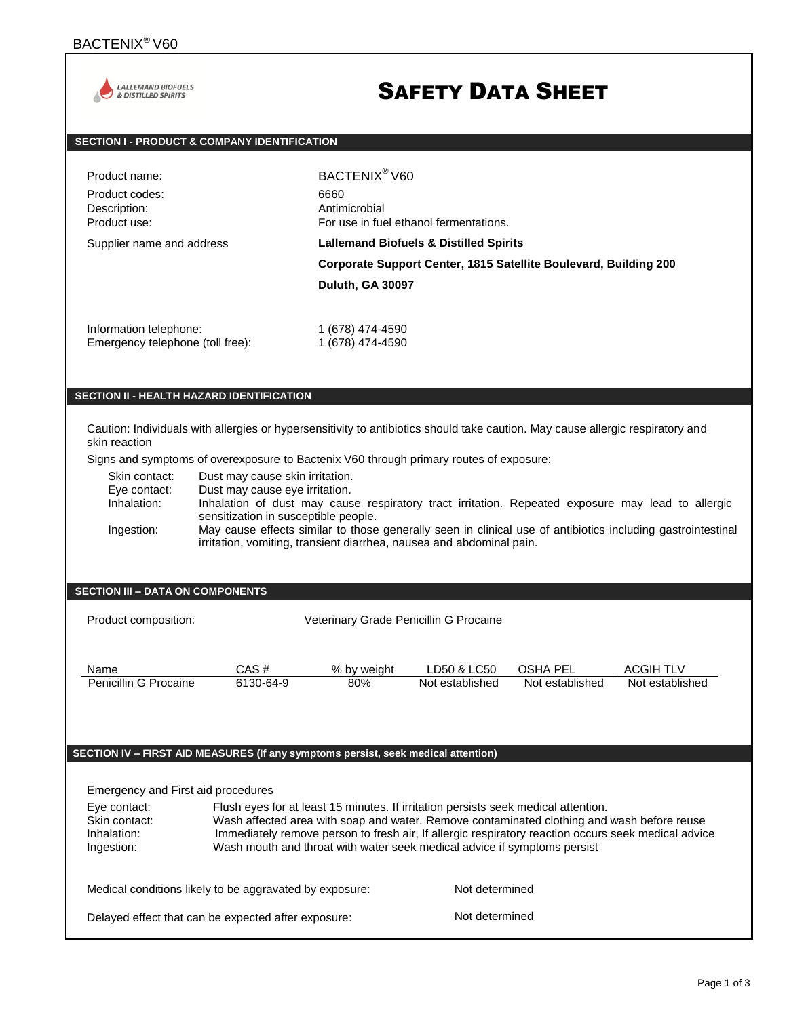

# SAFETY DATA SHEET

## **SECTION I - PRODUCT & COMPANY IDENTIFICATION**

| Product name:                    | BACTENIX <sup>®</sup> V60                                                                                                                        |
|----------------------------------|--------------------------------------------------------------------------------------------------------------------------------------------------|
| Product codes:                   | 6660                                                                                                                                             |
| Description:                     | Antimicrobial                                                                                                                                    |
| Product use:                     | For use in fuel ethanol fermentations.                                                                                                           |
| Supplier name and address        | <b>Lallemand Biofuels &amp; Distilled Spirits</b><br>Corporate Support Center, 1815 Satellite Boulevard, Building 200<br><b>Duluth, GA 30097</b> |
| Information telephone:           | 1 (678) 474-4590                                                                                                                                 |
| Emergency telephone (toll free): | 1 (678) 474-4590                                                                                                                                 |

## **SECTION II - HEALTH HAZARD IDENTIFICATION**

Caution: Individuals with allergies or hypersensitivity to antibiotics should take caution. May cause allergic respiratory and skin reaction

Signs and symptoms of overexposure to Bactenix V60 through primary routes of exposure:

Skin contact: Dust may cause skin irritation.<br>Eye contact: Dust may cause eye irritation.

Eye contact: Dust may cause eye irritation.<br>Inhalation: Inhalation of dust may caus

Inhalation of dust may cause respiratory tract irritation. Repeated exposure may lead to allergic sensitization in susceptible people.

Ingestion: May cause effects similar to those generally seen in clinical use of antibiotics including gastrointestinal irritation, vomiting, transient diarrhea, nausea and abdominal pain.

### **SECTION III – DATA ON COMPONENTS**

Product composition: Veterinary Grade Penicillin G Procaine

| Name                  | CAS #     | % by weight | ∟D50 & LC50     | OSHA PEL        | <b>ACGIH TLV</b> |
|-----------------------|-----------|-------------|-----------------|-----------------|------------------|
| Penicillin G Procaine | 6130-64-9 | 80%         | Not established | Not established | Not established  |

### **SECTION IV – FIRST AID MEASURES (If any symptoms persist, seek medical attention)**

Emergency and First aid procedures

| Eye contact:<br>Skin contact:<br>Inhalation:<br>Ingestion: |                                                         | Flush eyes for at least 15 minutes. If irritation persists seek medical attention.<br>Wash affected area with soap and water. Remove contaminated clothing and wash before reuse<br>Immediately remove person to fresh air, If allergic respiratory reaction occurs seek medical advice<br>Wash mouth and throat with water seek medical advice if symptoms persist |  |
|------------------------------------------------------------|---------------------------------------------------------|---------------------------------------------------------------------------------------------------------------------------------------------------------------------------------------------------------------------------------------------------------------------------------------------------------------------------------------------------------------------|--|
|                                                            | Medical conditions likely to be aggravated by exposure: | Not determined                                                                                                                                                                                                                                                                                                                                                      |  |
|                                                            | Delayed effect that can be expected after exposure:     | Not determined                                                                                                                                                                                                                                                                                                                                                      |  |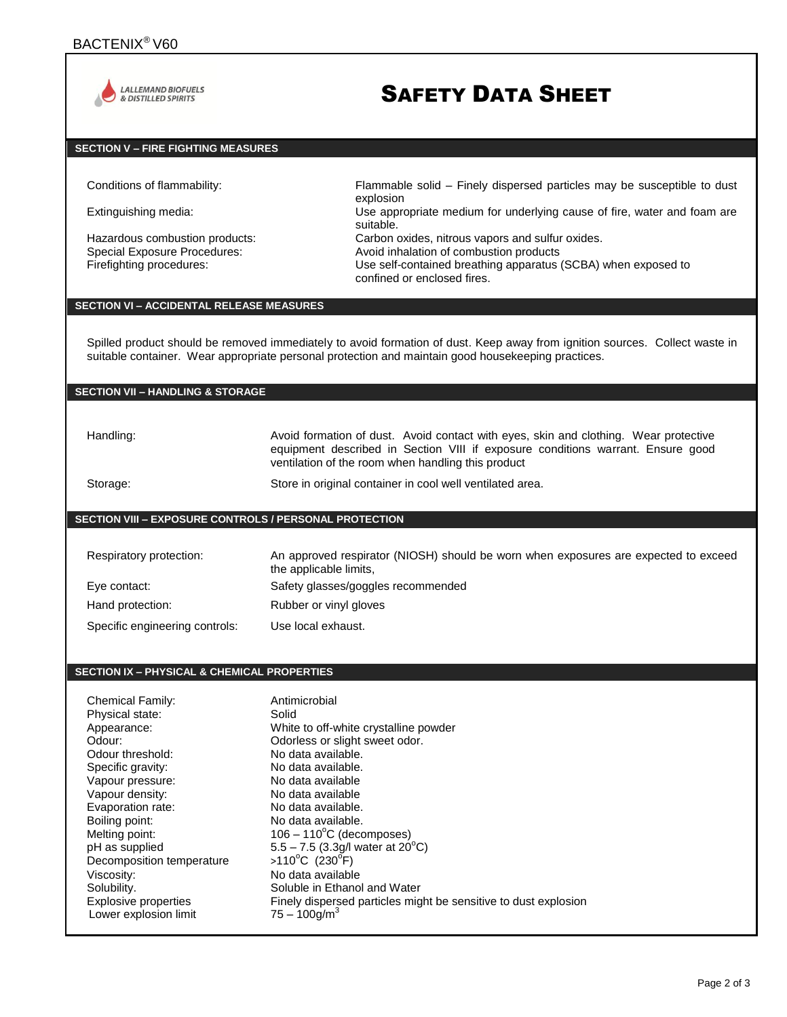

## SAFETY DATA SHEET

## **SECTION V – FIRE FIGHTING MEASURES**

Hazardous combustion products:<br>
Special Exposure Procedures: 
Special Exposure Procedures: 
Avoid inhalation of combustion products

Conditions of flammability: Flammable solid – Finely dispersed particles may be susceptible to dust explosion

Extinguishing media: Use appropriate medium for underlying cause of fire, water and foam are suitable.

Avoid inhalation of combustion products

Firefighting procedures: Use self-contained breathing apparatus (SCBA) when exposed to confined or enclosed fires.

#### **SECTION VI – ACCIDENTAL RELEASE MEASURES**

Spilled product should be removed immediately to avoid formation of dust. Keep away from ignition sources. Collect waste in suitable container. Wear appropriate personal protection and maintain good housekeeping practices.

#### **SECTION VII – HANDLING & STORAGE**

Handling: Avoid formation of dust. Avoid contact with eyes, skin and clothing. Wear protective equipment described in Section VIII if exposure conditions warrant. Ensure good ventilation of the room when handling this product

Storage: Store in original container in cool well ventilated area.

#### **SECTION VIII – EXPOSURE CONTROLS / PERSONAL PROTECTION**

| Respiratory protection:        | An approved respirator (NIOSH) should be worn when exposures are expected to exceed<br>the applicable limits, |
|--------------------------------|---------------------------------------------------------------------------------------------------------------|
| Eye contact:                   | Safety glasses/goggles recommended                                                                            |
| Hand protection:               | Rubber or vinyl gloves                                                                                        |
| Specific engineering controls: | Use local exhaust.                                                                                            |

#### **SECTION IX – PHYSICAL & CHEMICAL PROPERTIES**

| <b>Chemical Family:</b><br>Physical state:<br>Appearance:<br>Odour:<br>Odour threshold:<br>Specific gravity:<br>Vapour pressure:<br>Vapour density:<br>Evaporation rate:<br>Boiling point:<br>Melting point:<br>pH as supplied<br>Decomposition temperature<br>Viscosity:<br>Solubility. | Antimicrobial<br>Solid<br>White to off-white crystalline powder<br>Odorless or slight sweet odor.<br>No data available.<br>No data available.<br>No data available<br>No data available<br>No data available.<br>No data available.<br>$106 - 110^{\circ}$ C (decomposes)<br>5.5 – 7.5 (3.3g/l water at $20^{\circ}$ C)<br>>110°C (230°F)<br>No data available<br>Soluble in Ethanol and Water |
|------------------------------------------------------------------------------------------------------------------------------------------------------------------------------------------------------------------------------------------------------------------------------------------|------------------------------------------------------------------------------------------------------------------------------------------------------------------------------------------------------------------------------------------------------------------------------------------------------------------------------------------------------------------------------------------------|
| Explosive properties<br>Lower explosion limit                                                                                                                                                                                                                                            | Finely dispersed particles might be sensitive to dust explosion<br>$75 - 100$ g/m <sup>3</sup>                                                                                                                                                                                                                                                                                                 |
|                                                                                                                                                                                                                                                                                          |                                                                                                                                                                                                                                                                                                                                                                                                |